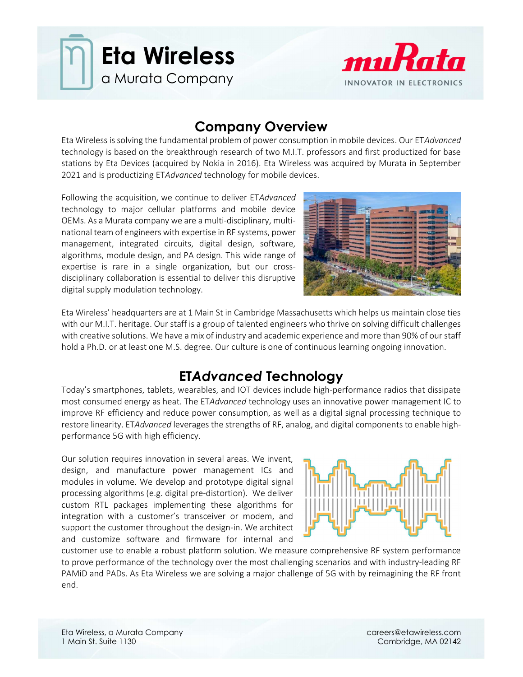



# Company Overview

Eta Wireless is solving the fundamental problem of power consumption in mobile devices. Our ETAdvanced technology is based on the breakthrough research of two M.I.T. professors and first productized for base stations by Eta Devices (acquired by Nokia in 2016). Eta Wireless was acquired by Murata in September 2021 and is productizing ETAdvanced technology for mobile devices.

Following the acquisition, we continue to deliver ETAdvanced technology to major cellular platforms and mobile device OEMs. As a Murata company we are a multi-disciplinary, multinational team of engineers with expertise in RF systems, power management, integrated circuits, digital design, software, algorithms, module design, and PA design. This wide range of expertise is rare in a single organization, but our crossdisciplinary collaboration is essential to deliver this disruptive digital supply modulation technology.



Eta Wireless' headquarters are at 1 Main St in Cambridge Massachusetts which helps us maintain close ties with our M.I.T. heritage. Our staff is a group of talented engineers who thrive on solving difficult challenges with creative solutions. We have a mix of industry and academic experience and more than 90% of our staff hold a Ph.D. or at least one M.S. degree. Our culture is one of continuous learning ongoing innovation.

## ETAdvanced Technology

Today's smartphones, tablets, wearables, and IOT devices include high-performance radios that dissipate most consumed energy as heat. The ETAdvanced technology uses an innovative power management IC to improve RF efficiency and reduce power consumption, as well as a digital signal processing technique to restore linearity. ETAdvanced leverages the strengths of RF, analog, and digital components to enable highperformance 5G with high efficiency.

Our solution requires innovation in several areas. We invent, design, and manufacture power management ICs and modules in volume. We develop and prototype digital signal processing algorithms (e.g. digital pre-distortion). We deliver custom RTL packages implementing these algorithms for integration with a customer's transceiver or modem, and support the customer throughout the design-in. We architect and customize software and firmware for internal and



customer use to enable a robust platform solution. We measure comprehensive RF system performance to prove performance of the technology over the most challenging scenarios and with industry-leading RF PAMiD and PADs. As Eta Wireless we are solving a major challenge of 5G with by reimagining the RF front end.